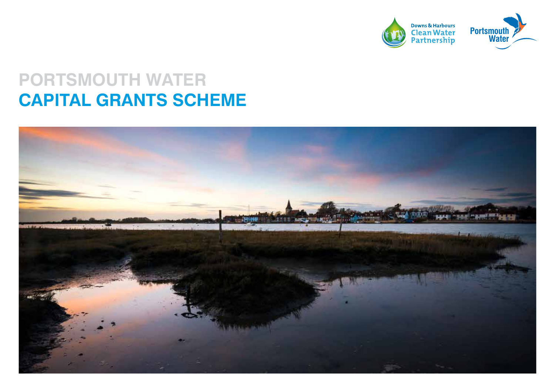

# **PORTSMOUTH WATER CAPITAL GRANTS SCHEME**

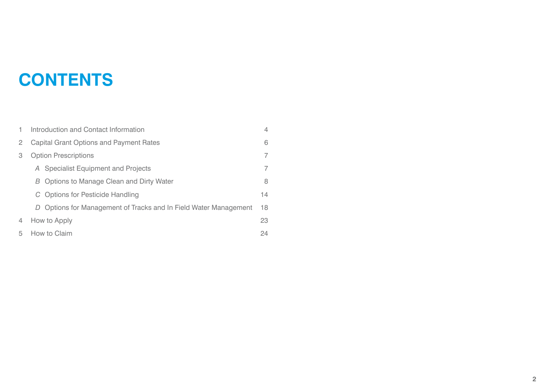# **CONTENTS**

|   | Introduction and Contact Information                             | 4  |
|---|------------------------------------------------------------------|----|
| 2 | <b>Capital Grant Options and Payment Rates</b>                   |    |
| 3 | <b>Option Prescriptions</b>                                      |    |
|   | A Specialist Equipment and Projects                              | 7  |
|   | B Options to Manage Clean and Dirty Water                        | 8  |
|   | C Options for Pesticide Handling                                 | 14 |
|   | D Options for Management of Tracks and In Field Water Management | 18 |
| 4 | How to Apply                                                     | 23 |
| 5 | How to Claim                                                     | 24 |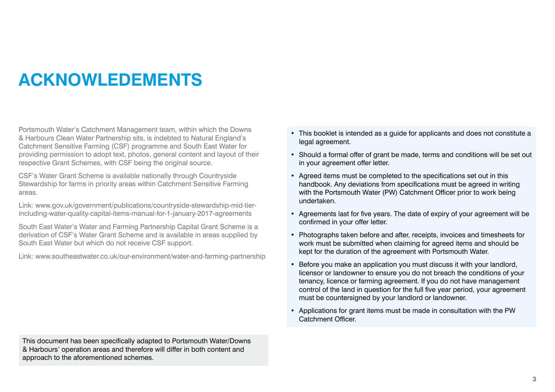# **ACKNOWLEDEMENTS**

Portsmouth Water's Catchment Management team, within which the Downs & Harbours Clean Water Partnership sits, is indebted to Natural England's Catchment Sensitive Farming (CSF) programme and South East Water for providing permission to adopt text, photos, general content and layout of their respective Grant Schemes, with CSF being the original source.

CSF's Water Grant Scheme is available nationally through Countryside Stewardship for farms in priority areas within Catchment Sensitive Farming areas.

Link: www.gov.uk/government/publications/countryside-stewardship-mid-tierincluding-water-quality-capital-items-manual-for-1-january-2017-agreements

South East Water's Water and Farming Partnership Capital Grant Scheme is a derivation of CSF's Water Grant Scheme and is available in areas supplied by South East Water but which do not receive CSF support.

Link: www.southeastwater.co.uk/our-environment/water-and-farming-partnership

- This booklet is intended as a guide for applicants and does not constitute a legal agreement.
- Should a formal offer of grant be made, terms and conditions will be set out in your agreement offer letter.
- Agreed items must be completed to the specifications set out in this handbook. Any deviations from specifications must be agreed in writing with the Portsmouth Water (PW) Catchment Officer prior to work being undertaken.
- Agreements last for five years. The date of expiry of your agreement will be confirmed in your offer letter.
- Photographs taken before and after, receipts, invoices and timesheets for work must be submitted when claiming for agreed items and should be kept for the duration of the agreement with Portsmouth Water.
- Before you make an application you must discuss it with your landlord, licensor or landowner to ensure you do not breach the conditions of your tenancy, licence or farming agreement. If you do not have management control of the land in question for the full five year period, your agreement must be countersigned by your landlord or landowner.
- Applications for grant items must be made in consultation with the PW Catchment Officer.

This document has been specifically adapted to Portsmouth Water/Downs & Harbours' operation areas and therefore will differ in both content and approach to the aforementioned schemes.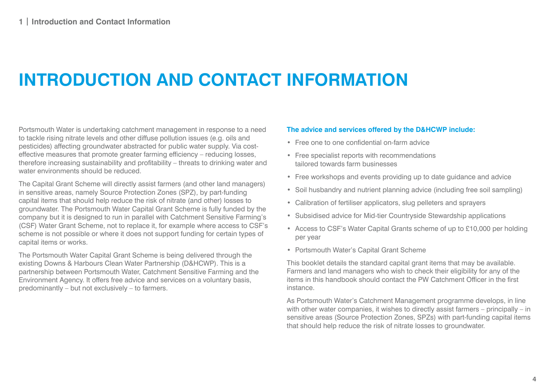# **INTRODUCTION AND CONTACT INFORMATION**

Portsmouth Water is undertaking catchment management in response to a need to tackle rising nitrate levels and other diffuse pollution issues (e.g. oils and pesticides) affecting groundwater abstracted for public water supply. Via costeffective measures that promote greater farming efficiency – reducing losses, therefore increasing sustainability and profitability – threats to drinking water and water environments should be reduced.

The Capital Grant Scheme will directly assist farmers (and other land managers) in sensitive areas, namely Source Protection Zones (SPZ), by part-funding capital items that should help reduce the risk of nitrate (and other) losses to groundwater. The Portsmouth Water Capital Grant Scheme is fully funded by the company but it is designed to run in parallel with Catchment Sensitive Farming's (CSF) Water Grant Scheme, not to replace it, for example where access to CSF's scheme is not possible or where it does not support funding for certain types of capital items or works.

The Portsmouth Water Capital Grant Scheme is being delivered through the existing Downs & Harbours Clean Water Partnership (D&HCWP). This is a partnership between Portsmouth Water, Catchment Sensitive Farming and the Environment Agency. It offers free advice and services on a voluntary basis, predominantly – but not exclusively – to farmers.

#### **The advice and services offered by the D&HCWP include:**

- Free one to one confidential on-farm advice
- Free specialist reports with recommendations tailored towards farm businesses
- Free workshops and events providing up to date guidance and advice
- Soil husbandry and nutrient planning advice (including free soil sampling)
- Calibration of fertiliser applicators, slug pelleters and sprayers
- Subsidised advice for Mid-tier Countryside Stewardship applications
- Access to CSF's Water Capital Grants scheme of up to £10,000 per holding per year
- Portsmouth Water's Capital Grant Scheme

This booklet details the standard capital grant items that may be available. Farmers and land managers who wish to check their eligibility for any of the items in this handbook should contact the PW Catchment Officer in the first instance.

As Portsmouth Water's Catchment Management programme develops, in line with other water companies, it wishes to directly assist farmers – principally – in sensitive areas (Source Protection Zones, SPZs) with part-funding capital items that should help reduce the risk of nitrate losses to groundwater.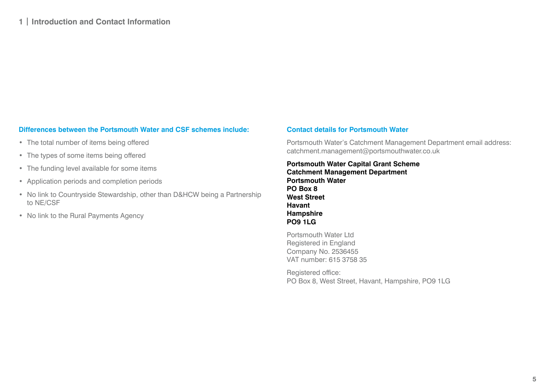## **Differences between the Portsmouth Water and CSF schemes include:**

- The total number of items being offered
- The types of some items being offered
- The funding level available for some items
- Application periods and completion periods
- No link to Countryside Stewardship, other than D&HCW being a Partnership to NE/CSF
- No link to the Rural Payments Agency

#### **Contact details for Portsmouth Water**

Portsmouth Water's Catchment Management Department email address: catchment.management@portsmouthwater.co.uk

## **Portsmouth Water Capital Grant Scheme Catchment Management Department Portsmouth Water PO Box 8 West Street Havant Hampshire PO9 1LG**

Portsmouth Water Ltd Registered in England Company No. 2536455 VAT number: 615 3758 35

Registered office: PO Box 8, West Street, Havant, Hampshire, PO9 1LG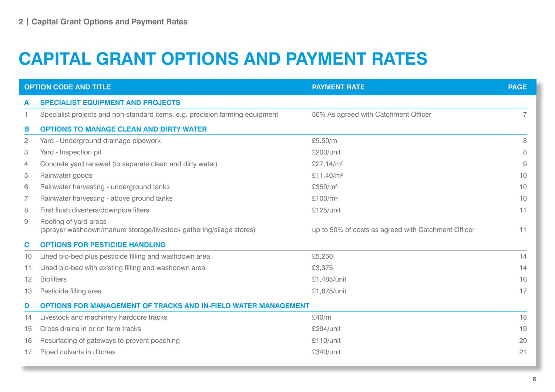# **CAPITAL GRANT OPTIONS AND PAYMENT RATES**

|                | <b>OPTION CODE AND TITLE</b>                                                                 | <b>PAYMENT RATE</b>                                 | <b>PAGE</b> |
|----------------|----------------------------------------------------------------------------------------------|-----------------------------------------------------|-------------|
| A              | <b>SPECIALIST EQUIPMENT AND PROJECTS</b>                                                     |                                                     |             |
|                | Specialist projects and non-standard items, e.g. precision farming equipment                 | 50% As agreed with Catchment Officer                |             |
| в              | <b>OPTIONS TO MANAGE CLEAN AND DIRTY WATER</b>                                               |                                                     |             |
| $\mathbf{2}$   | Yard - Underground drainage pipework                                                         | £5.50/m                                             | 8           |
| 3              | Yard - Inspection pit                                                                        | £200/unit                                           | 8           |
| $\overline{4}$ | Concrete yard renewal (to separate clean and dirty water)                                    | £27.14/m <sup>2</sup>                               | 9           |
| 5              | Rainwater goods                                                                              | £11.40/m <sup>2</sup>                               | 10          |
| 6              | Rainwater harvesting - underground tanks                                                     | £350/m <sup>3</sup>                                 | 10          |
| 7              | Rainwater harvesting - above ground tanks                                                    | £100/ $m3$                                          | 10          |
| 8              | First flush diverters/downpipe filters                                                       | £125/unit                                           | 11          |
| 9              | Roofing of yard areas<br>(sprayer washdown/manure storage/livestock gathering/silage stores) | up to 50% of costs as agreed with Catchment Officer | 11          |
| $\mathbf c$    | <b>OPTIONS FOR PESTICIDE HANDLING</b>                                                        |                                                     |             |
| 10             | Lined bio-bed plus pesticide filling and washdown area                                       | £5,250                                              | 14          |
| 11             | Lined bio-bed with existing filling and washdown area                                        | £3,375                                              | 14          |
| 12             | <b>Biofilters</b>                                                                            | £1,485/unit                                         | 16          |
| 13             | Pesticide filling area                                                                       | £1,875/unit                                         | 17          |
| D              | <b>OPTIONS FOR MANAGEMENT OF TRACKS AND IN-FIELD WATER MANAGEMENT</b>                        |                                                     |             |
| 14             | Livestock and machinery hardcore tracks                                                      | £40/m                                               | 18          |
| 15             | Cross drains in or on farm tracks                                                            | £294/unit                                           | 19          |
| 16             | Resurfacing of gateways to prevent poaching                                                  | £110/unit                                           | 20          |
| 17             | Piped culverts in ditches                                                                    | £340/unit                                           | 21          |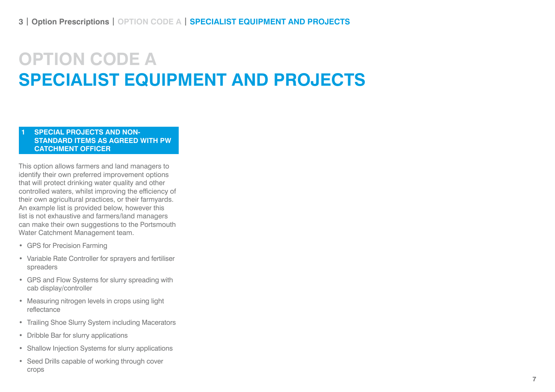# **OPTION CODE A SPECIALIST EQUIPMENT AND PROJECTS**

### **1 SPECIAL PROJECTS AND NON-STANDARD ITEMS AS AGREED WITH PW CATCHMENT OFFICER**

This option allows farmers and land managers to identify their own preferred improvement options that will protect drinking water quality and other controlled waters, whilst improving the efficiency of their own agricultural practices, or their farmyards. An example list is provided below, however this list is not exhaustive and farmers/land managers can make their own suggestions to the Portsmouth Water Catchment Management team.

- GPS for Precision Farming
- Variable Rate Controller for sprayers and fertiliser spreaders
- GPS and Flow Systems for slurry spreading with cab display/controller
- Measuring nitrogen levels in crops using light reflectance
- Trailing Shoe Slurry System including Macerators
- Dribble Bar for slurry applications
- Shallow Injection Systems for slurry applications
- Seed Drills capable of working through cover crops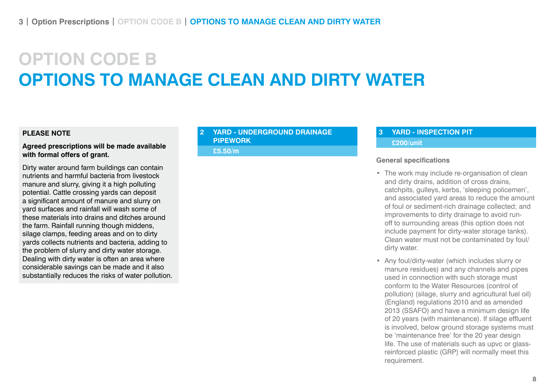# **OPTION CODE B OPTIONS TO MANAGE CLEAN AND DIRTY WATER**

### **PLEASE NOTE**

#### **Agreed prescriptions will be made available with formal offers of grant.**

Dirty water around farm buildings can contain nutrients and harmful bacteria from livestock manure and slurry, giving it a high polluting potential. Cattle crossing yards can deposit a significant amount of manure and slurry on yard surfaces and rainfall will wash some of these materials into drains and ditches around the farm. Rainfall running though middens, silage clamps, feeding areas and on to dirty yards collects nutrients and bacteria, adding to the problem of slurry and dirty water storage. Dealing with dirty water is often an area where considerable savings can be made and it also substantially reduces the risks of water pollution.

## **2 YARD - UNDERGROUND DRAINAGE PIPEWORK**

**£5.50/m**

## **3 YARD - INSPECTION PIT £200/unit**

#### **General specifications**

- The work may include re-organisation of clean and dirty drains, addition of cross drains, catchpits, gulleys, kerbs, 'sleeping policemen', and associated yard areas to reduce the amount of foul or sediment-rich drainage collected; and improvements to dirty drainage to avoid runoff to surrounding areas (this option does not include payment for dirty-water storage tanks). Clean water must not be contaminated by foul/ dirty water.
- Any foul/dirty-water (which includes slurry or manure residues) and any channels and pipes used in connection with such storage must conform to the Water Resources (control of pollution) (silage, slurry and agricultural fuel oil) (England) regulations 2010 and as amended 2013 (SSAFO) and have a minimum design life of 20 years (with maintenance). If silage effluent is involved, below ground storage systems must be 'maintenance free' for the 20 year design life. The use of materials such as upvc or glassreinforced plastic (GRP) will normally meet this requirement.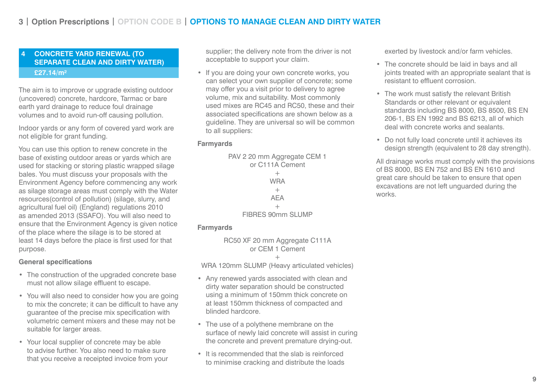### **4 CONCRETE YARD RENEWAL (TO SEPARATE CLEAN AND DIRTY WATER) £27.14/m²**

The aim is to improve or upgrade existing outdoor (uncovered) concrete, hardcore, Tarmac or bare earth yard drainage to reduce foul drainage volumes and to avoid run-off causing pollution.

Indoor yards or any form of covered yard work are not eligible for grant funding.

You can use this option to renew concrete in the base of existing outdoor areas or yards which are used for stacking or storing plastic wrapped silage bales. You must discuss your proposals with the Environment Agency before commencing any work as silage storage areas must comply with the Water resources(control of pollution) (silage, slurry, and agricultural fuel oil) (England) regulations 2010 as amended 2013 (SSAFO). You will also need to ensure that the Environment Agency is given notice of the place where the silage is to be stored at least 14 days before the place is first used for that purpose.

#### **General specifications**

- The construction of the upgraded concrete base must not allow silage effluent to escape.
- You will also need to consider how you are going to mix the concrete; it can be difficult to have any guarantee of the precise mix specification with volumetric cement mixers and these may not be suitable for larger areas.
- Your local supplier of concrete may be able to advise further. You also need to make sure that you receive a receipted invoice from your

supplier; the delivery note from the driver is not acceptable to support your claim.

• If you are doing your own concrete works, you can select your own supplier of concrete; some may offer you a visit prior to delivery to agree volume, mix and suitability. Most commonly used mixes are RC45 and RC50, these and their associated specifications are shown below as a guideline. They are universal so will be common to all suppliers:

### **Farmyards**



#### **Farmyards**

RC50 XF 20 mm Aggregate C111A or CEM 1 Cement

 $+$ 

WRA 120mm SLUMP (Heavy articulated vehicles)

- Any renewed yards associated with clean and dirty water separation should be constructed using a minimum of 150mm thick concrete on at least 150mm thickness of compacted and blinded hardcore.
- The use of a polythene membrane on the surface of newly laid concrete will assist in curing the concrete and prevent premature drying-out.
- It is recommended that the slab is reinforced to minimise cracking and distribute the loads

exerted by livestock and/or farm vehicles.

- The concrete should be laid in bays and all joints treated with an appropriate sealant that is resistant to effluent corrosion.
- The work must satisfy the relevant British Standards or other relevant or equivalent standards including BS 8000, BS 8500, BS EN 206-1, BS EN 1992 and BS 6213, all of which deal with concrete works and sealants.
- Do not fully load concrete until it achieves its design strength (equivalent to 28 day strength).

All drainage works must comply with the provisions of BS 8000, BS EN 752 and BS EN 1610 and great care should be taken to ensure that open excavations are not left unguarded during the works.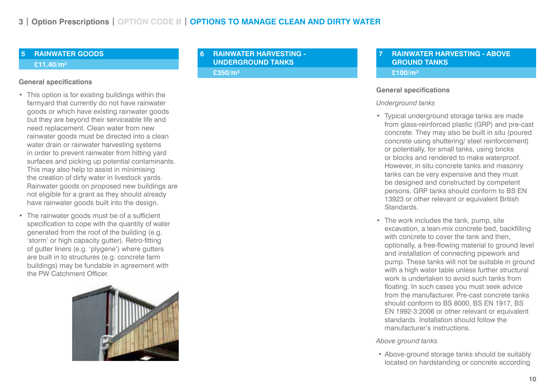### **5 RAINWATER GOODS**

#### **£11.40/m²**

#### **General specifications**

- This option is for existing buildings within the farmyard that currently do not have rainwater goods or which have existing rainwater goods but they are beyond their serviceable life and need replacement. Clean water from new rainwater goods must be directed into a clean water drain or rainwater harvesting systems in order to prevent rainwater from hitting yard surfaces and picking up potential contaminants. This may also help to assist in minimising the creation of dirty water in livestock yards. Rainwater goods on proposed new buildings are not eligible for a grant as they should already have rainwater goods built into the design.
- The rainwater goods must be of a sufficient specification to cope with the quantity of water generated from the roof of the building (e.g. 'storm' or high capacity gutter). Retro-fitting of gutter liners (e.g. 'plygene') where gutters are built in to structures (e.g. concrete farm buildings) may be fundable in agreement with the PW Catchment Officer.



**6 RAINWATER HARVESTING - UNDERGROUND TANKS**

### **£350/m³**

### **7 RAINWATER HARVESTING - ABOVE GROUND TANKS £100/m³**

#### **General specifications**

#### *Underground tanks*

- Typical underground storage tanks are made from glass-reinforced plastic (GRP) and pre-cast concrete. They may also be built in situ (poured concrete using shuttering/ steel reinforcement) or potentially, for small tanks, using bricks or blocks and rendered to make waterproof. However, in situ concrete tanks and masonry tanks can be very expensive and they must be designed and constructed by competent persons. GRP tanks should conform to BS EN 13923 or other relevant or equivalent British Standards.
- The work includes the tank, pump, site excavation, a lean-mix concrete bed, backfilling with concrete to cover the tank and then. optionally, a free-flowing material to ground level and installation of connecting pipework and pump. These tanks will not be suitable in ground with a high water table unless further structural work is undertaken to avoid such tanks from floating. In such cases you must seek advice from the manufacturer. Pre-cast concrete tanks should conform to BS 8000, BS EN 1917, BS EN 1992-3:2006 or other relevant or equivalent standards. Installation should follow the manufacturer's instructions.

*Above ground tanks*

 • Above-ground storage tanks should be suitably located on hardstanding or concrete according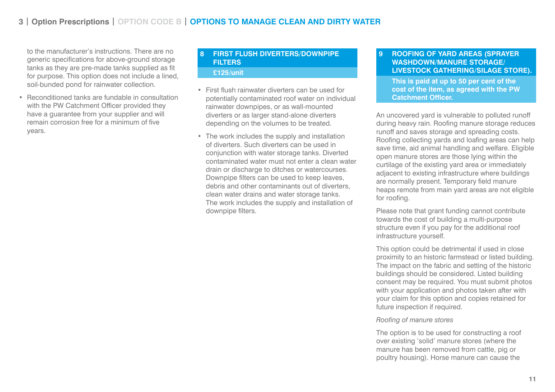to the manufacturer's instructions. There are no generic specifications for above-ground storage tanks as they are pre-made tanks supplied as fit for purpose. This option does not include a lined, soil-bunded pond for rainwater collection.

• Reconditioned tanks are fundable in consultation with the PW Catchment Officer provided they have a guarantee from your supplier and will remain corrosion free for a minimum of five years.

## **8 FIRST FLUSH DIVERTERS/DOWNPIPE FILTERS £125/unit**

- First flush rainwater diverters can be used for potentially contaminated roof water on individual rainwater downpipes, or as wall-mounted diverters or as larger stand-alone diverters depending on the volumes to be treated.
- The work includes the supply and installation of diverters. Such diverters can be used in conjunction with water storage tanks. Diverted contaminated water must not enter a clean water drain or discharge to ditches or watercourses. Downpipe filters can be used to keep leaves, debris and other contaminants out of diverters, clean water drains and water storage tanks. The work includes the supply and installation of downpipe filters.

## **9 ROOFING OF YARD AREAS (SPRAYER WASHDOWN/MANURE STORAGE/ LIVESTOCK GATHERING/SILAGE STORE).**

**This is paid at up to 50 per cent of the cost of the item, as agreed with the PW Catchment Officer.**

An uncovered yard is vulnerable to polluted runoff during heavy rain. Roofing manure storage reduces runoff and saves storage and spreading costs. Roofing collecting yards and loafing areas can help save time, aid animal handling and welfare. Eligible open manure stores are those lying within the curtilage of the existing yard area or immediately adjacent to existing infrastructure where buildings are normally present. Temporary field manure heaps remote from main yard areas are not eligible for roofing.

Please note that grant funding cannot contribute towards the cost of building a multi-purpose structure even if you pay for the additional roof infrastructure yourself.

This option could be detrimental if used in close proximity to an historic farmstead or listed building. The impact on the fabric and setting of the historic buildings should be considered. Listed building consent may be required. You must submit photos with your application and photos taken after with your claim for this option and copies retained for future inspection if required.

#### *Roofing of manure stores*

The option is to be used for constructing a roof over existing 'solid' manure stores (where the manure has been removed from cattle, pig or poultry housing). Horse manure can cause the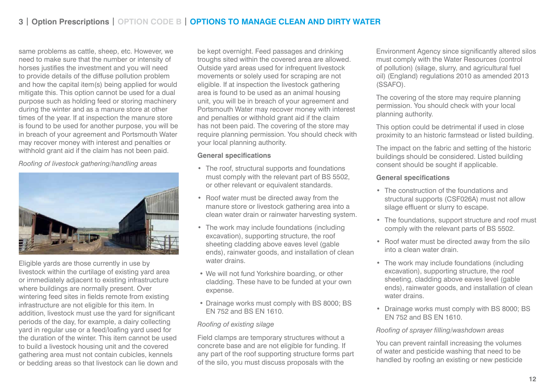# **3 | Option Prescriptions | OPTION CODE B | OPTIONS TO MANAGE CLEAN AND DIRTY WATER**

same problems as cattle, sheep, etc. However, we need to make sure that the number or intensity of horses justifies the investment and you will need to provide details of the diffuse pollution problem and how the capital item(s) being applied for would mitigate this. This option cannot be used for a dual purpose such as holding feed or storing machinery during the winter and as a manure store at other times of the year. If at inspection the manure store is found to be used for another purpose, you will be in breach of your agreement and Portsmouth Water may recover money with interest and penalties or withhold grant aid if the claim has not been paid.

*Roofing of livestock gathering/handling areas*



Eligible yards are those currently in use by livestock within the curtilage of existing yard area or immediately adjacent to existing infrastructure where buildings are normally present. Over wintering feed sites in fields remote from existing infrastructure are not eligible for this item. In addition, livestock must use the yard for significant periods of the day, for example, a dairy collecting yard in regular use or a feed/loafing yard used for the duration of the winter. This item cannot be used to build a livestock housing unit and the covered gathering area must not contain cubicles, kennels or bedding areas so that livestock can lie down and be kept overnight. Feed passages and drinking troughs sited within the covered area are allowed. Outside yard areas used for infrequent livestock movements or solely used for scraping are not eligible. If at inspection the livestock gathering area is found to be used as an animal housing unit, you will be in breach of your agreement and Portsmouth Water may recover money with interest and penalties or withhold grant aid if the claim has not been paid. The covering of the store may require planning permission. You should check with your local planning authority.

#### **General specifications**

- The roof, structural supports and foundations must comply with the relevant part of BS 5502, or other relevant or equivalent standards.
- Roof water must be directed away from the manure store or livestock gathering area into a clean water drain or rainwater harvesting system.
- The work may include foundations (including excavation), supporting structure, the roof sheeting cladding above eaves level (gable ends), rainwater goods, and installation of clean water drains.
- We will not fund Yorkshire boarding, or other cladding. These have to be funded at your own expense.
- Drainage works must comply with BS 8000; BS EN 752 and BS EN 1610.

#### *Roofing of existing silage*

Field clamps are temporary structures without a concrete base and are not eligible for funding. If any part of the roof supporting structure forms part of the silo, you must discuss proposals with the

Environment Agency since significantly altered silos must comply with the Water Resources (control of pollution) (silage, slurry, and agricultural fuel oil) (England) regulations 2010 as amended 2013 (SSAFO).

The covering of the store may require planning permission. You should check with your local planning authority.

This option could be detrimental if used in close proximity to an historic farmstead or listed building.

The impact on the fabric and setting of the historic buildings should be considered. Listed building consent should be sought if applicable.

#### **General specifications**

- The construction of the foundations and structural supports (CSF026A) must not allow silage effluent or slurry to escape.
- The foundations, support structure and roof must comply with the relevant parts of BS 5502.
- Roof water must be directed away from the silo into a clean water drain.
- The work may include foundations (including excavation), supporting structure, the roof sheeting, cladding above eaves level (gable ends), rainwater goods, and installation of clean water drains.
- Drainage works must comply with BS 8000; BS EN 752 and BS EN 1610.

#### *Roofing of sprayer filling/washdown areas*

You can prevent rainfall increasing the volumes of water and pesticide washing that need to be handled by roofing an existing or new pesticide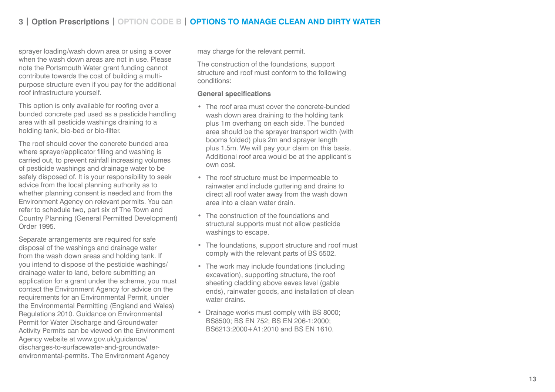# **3 | Option Prescriptions | OPTION CODE B | OPTIONS TO MANAGE CLEAN AND DIRTY WATER**

sprayer loading/wash down area or using a cover when the wash down areas are not in use. Please note the Portsmouth Water grant funding cannot contribute towards the cost of building a multipurpose structure even if you pay for the additional roof infrastructure yourself.

This option is only available for roofing over a bunded concrete pad used as a pesticide handling area with all pesticide washings draining to a holding tank, bio-bed or bio-filter.

The roof should cover the concrete bunded area where sprayer/applicator filling and washing is carried out, to prevent rainfall increasing volumes of pesticide washings and drainage water to be safely disposed of. It is your responsibility to seek advice from the local planning authority as to whether planning consent is needed and from the Environment Agency on relevant permits. You can refer to schedule two, part six of The Town and Country Planning (General Permitted Development) Order 1995.

Separate arrangements are required for safe disposal of the washings and drainage water from the wash down areas and holding tank. If you intend to dispose of the pesticide washings/ drainage water to land, before submitting an application for a grant under the scheme, you must contact the Environment Agency for advice on the requirements for an Environmental Permit, under the Environmental Permitting (England and Wales) Regulations 2010. Guidance on Environmental Permit for Water Discharge and Groundwater Activity Permits can be viewed on the Environment Agency website at www.gov.uk/guidance/ discharges-to-surfacewater-and-groundwaterenvironmental-permits. The Environment Agency

may charge for the relevant permit.

The construction of the foundations, support structure and roof must conform to the following conditions:

#### **General specifications**

- The roof area must cover the concrete-bunded wash down area draining to the holding tank plus 1m overhang on each side. The bunded area should be the sprayer transport width (with booms folded) plus 2m and sprayer length plus 1.5m. We will pay your claim on this basis. Additional roof area would be at the applicant's own cost.
- The roof structure must be impermeable to rainwater and include guttering and drains to direct all roof water away from the wash down area into a clean water drain.
- The construction of the foundations and structural supports must not allow pesticide washings to escape.
- The foundations, support structure and roof must comply with the relevant parts of BS 5502.
- The work may include foundations (including excavation), supporting structure, the roof sheeting cladding above eaves level (gable ends), rainwater goods, and installation of clean water drains.
- Drainage works must comply with BS 8000; BS8500; BS EN 752; BS EN 206-1:2000; BS6213:2000+A1:2010 and BS EN 1610.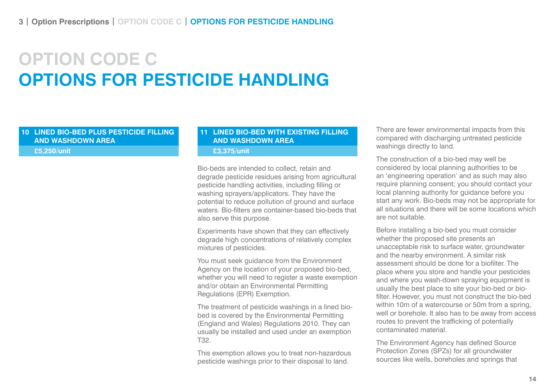# **OPTION CODE C OPTIONS FOR PESTICIDE HANDLING**

## **10 LINED BIO-BED PLUS PESTICIDE FILLING AND WASHDOWN AREA**

**£5,250/unit**

# **11 LINED BIO-BED WITH EXISTING FILLING AND WASHDOWN AREA**

**£3,375/unit**

Bio-beds are intended to collect, retain and degrade pesticide residues arising from agricultural pesticide handling activities, including filling or washing sprayers/applicators. They have the potential to reduce pollution of ground and surface waters. Bio-filters are container-based bio-beds that also serve this purpose.

Experiments have shown that they can effectively degrade high concentrations of relatively complex mixtures of pesticides.

You must seek guidance from the Environment Agency on the location of your proposed bio-bed, whether you will need to register a waste exemption and/or obtain an Environmental Permitting Regulations (EPR) Exemption.

The treatment of pesticide washings in a lined biobed is covered by the Environmental Permitting (England and Wales) Regulations 2010. They can usually be installed and used under an exemption T32.

This exemption allows you to treat non-hazardous pesticide washings prior to their disposal to land.

There are fewer environmental impacts from this compared with discharging untreated pesticide washings directly to land.

The construction of a bio-bed may well be considered by local planning authorities to be an 'engineering operation' and as such may also require planning consent; you should contact your local planning authority for guidance before you start any work. Bio-beds may not be appropriate for all situations and there will be some locations which are not suitable.

Before installing a bio-bed you must consider whether the proposed site presents an unacceptable risk to surface water, groundwater and the nearby environment. A similar risk assessment should be done for a biofilter. The place where you store and handle your pesticides and where you wash-down spraying equipment is usually the best place to site your bio-bed or biofilter. However, you must not construct the bio-bed within 10m of a watercourse or 50m from a spring. well or borehole. It also has to be away from access routes to prevent the trafficking of potentially contaminated material.

The Environment Agency has defined Source Protection Zones (SPZs) for all groundwater sources like wells, boreholes and springs that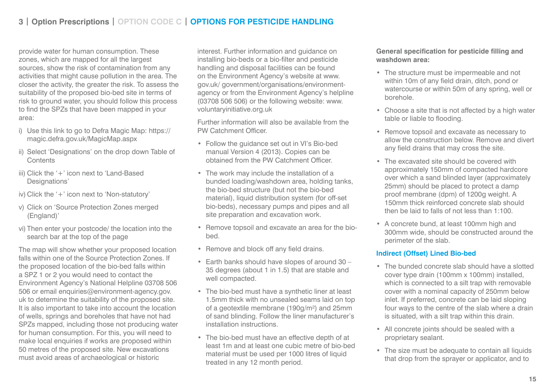# **3 | Option Prescriptions | OPTION CODE C | OPTIONS FOR PESTICIDE HANDLING**

provide water for human consumption. These zones, which are mapped for all the largest sources, show the risk of contamination from any activities that might cause pollution in the area. The closer the activity, the greater the risk. To assess the suitability of the proposed bio-bed site in terms of risk to ground water, you should follow this process to find the SPZs that have been mapped in your area:

- i) Use this link to go to Defra Magic Map: https:// magic.defra.gov.uk/MagicMap.aspx
- ii) Select 'Designations' on the drop down Table of **Contents**
- iii) Click the '+' icon next to 'Land-Based Designations'
- iv) Click the '+' icon next to 'Non-statutory'
- v) Click on 'Source Protection Zones merged (England)'
- vi) Then enter your postcode/ the location into the search bar at the top of the page

The map will show whether your proposed location falls within one of the Source Protection Zones. If the proposed location of the bio-bed falls within a SPZ 1 or 2 you would need to contact the Environment Agency's National Helpline 03708 506 506 or email enquiries@environment-agency.gov. uk to determine the suitability of the proposed site. It is also important to take into account the location of wells, springs and boreholes that have not had SPZs mapped, including those not producing water for human consumption. For this, you will need to make local enquiries if works are proposed within 50 metres of the proposed site. New excavations must avoid areas of archaeological or historic

interest. Further information and guidance on installing bio-beds or a bio-filter and pesticide handling and disposal facilities can be found on the Environment Agency's website at www. gov.uk/ government/organisations/environmentagency or from the Environment Agency's helpline (03708 506 506) or the following website: www. voluntaryinitiative.org.uk

Further information will also be available from the PW Catchment Officer.

- Follow the guidance set out in VI's Bio-bed manual Version 4 (2013). Copies can be obtained from the PW Catchment Officer.
- The work may include the installation of a bunded loading/washdown area, holding tanks, the bio-bed structure (but not the bio-bed material), liquid distribution system (for off-set bio-beds), necessary pumps and pipes and all site preparation and excavation work.
- Remove topsoil and excavate an area for the biobed.
- Remove and block off any field drains.
- Earth banks should have slopes of around 30 35 degrees (about 1 in 1.5) that are stable and well compacted.
- The bio-bed must have a synthetic liner at least 1.5mm thick with no unsealed seams laid on top of a geotextile membrane (190g/m²) and 25mm of sand blinding. Follow the liner manufacturer's installation instructions.
- The bio-bed must have an effective depth of at least 1m and at least one cubic metre of bio-bed material must be used per 1000 litres of liquid treated in any 12 month period.

## **General specification for pesticide filling and washdown area:**

- The structure must be impermeable and not within 10m of any field drain, ditch, pond or watercourse or within 50m of any spring, well or borehole.
- Choose a site that is not affected by a high water table or liable to flooding.
- Remove topsoil and excavate as necessary to allow the construction below. Remove and divert any field drains that may cross the site.
- The excavated site should be covered with approximately 150mm of compacted hardcore over which a sand blinded layer (approximately 25mm) should be placed to protect a damp proof membrane (dpm) of 1200g weight. A 150mm thick reinforced concrete slab should then be laid to falls of not less than 1:100.
- A concrete bund, at least 100mm high and 300mm wide, should be constructed around the perimeter of the slab.

### **Indirect (Offset) Lined Bio-bed**

- The bunded concrete slab should have a slotted cover type drain (100mm x 100mm) installed, which is connected to a silt trap with removable cover with a nominal capacity of 250mm below inlet. If preferred, concrete can be laid sloping four ways to the centre of the slab where a drain is situated, with a silt trap within this drain.
- All concrete joints should be sealed with a proprietary sealant.
- The size must be adequate to contain all liquids that drop from the sprayer or applicator, and to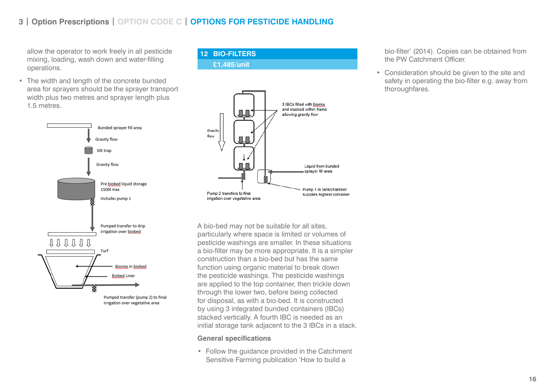# **3 | Option Prescriptions | OPTION CODE C | OPTIONS FOR PESTICIDE HANDLING**

allow the operator to work freely in all pesticide mixing, loading, wash down and water-filling operations.

• The width and length of the concrete bunded area for sprayers should be the sprayer transport width plus two metres and sprayer length plus 1.5 metres.



irrigation over vegetative area

# **12 BIO-FILTERS £1,485/unit**



A bio-bed may not be suitable for all sites, particularly where space is limited or volumes of pesticide washings are smaller. In these situations a bio-filter may be more appropriate. It is a simpler construction than a bio-bed but has the same function using organic material to break down the pesticide washings. The pesticide washings are applied to the top container, then trickle down through the lower two, before being collected for disposal, as with a bio-bed. It is constructed by using 3 integrated bunded containers (IBCs) stacked vertically. A fourth IBC is needed as an initial storage tank adjacent to the 3 IBCs in a stack.

#### **General specifications**

• Follow the guidance provided in the Catchment Sensitive Farming publication 'How to build a

### bio-filter' (2014). Copies can be obtained from the PW Catchment Officer.

• Consideration should be given to the site and safety in operating the bio-filter e.g. away from thoroughfares.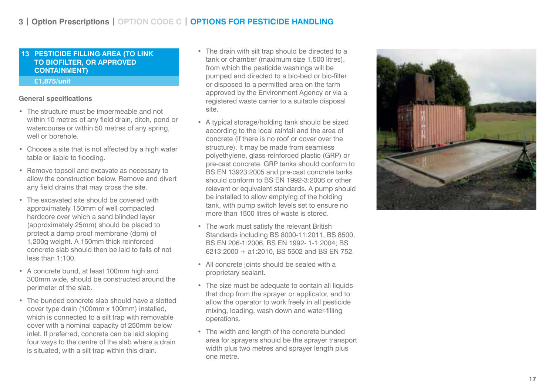## **13 PESTICIDE FILLING AREA (TO LINK TO BIOFILTER, OR APPROVED CONTAINMENT) £1,875/unit**

#### **General specifications**

- The structure must be impermeable and not within 10 metres of any field drain, ditch, pond or watercourse or within 50 metres of any spring, well or borehole.
- Choose a site that is not affected by a high water table or liable to flooding.
- Remove topsoil and excavate as necessary to allow the construction below. Remove and divert any field drains that may cross the site.
- The excavated site should be covered with approximately 150mm of well compacted hardcore over which a sand blinded layer (approximately 25mm) should be placed to protect a damp proof membrane (dpm) of 1,200g weight. A 150mm thick reinforced concrete slab should then be laid to falls of not less than 1:100.
- A concrete bund, at least 100mm high and 300mm wide, should be constructed around the perimeter of the slab.
- The bunded concrete slab should have a slotted cover type drain (100mm x 100mm) installed, which is connected to a silt trap with removable cover with a nominal capacity of 250mm below inlet. If preferred, concrete can be laid sloping four ways to the centre of the slab where a drain is situated, with a silt trap within this drain.
- The drain with silt trap should be directed to a tank or chamber (maximum size 1,500 litres), from which the pesticide washings will be pumped and directed to a bio-bed or bio-filter or disposed to a permitted area on the farm approved by the Environment Agency or via a registered waste carrier to a suitable disposal site.
- A typical storage/holding tank should be sized according to the local rainfall and the area of concrete (if there is no roof or cover over the structure). It may be made from seamless polyethylene, glass-reinforced plastic (GRP) or pre-cast concrete. GRP tanks should conform to BS EN 13923:2005 and pre-cast concrete tanks should conform to BS EN 1992-3:2006 or other relevant or equivalent standards. A pump should be installed to allow emptying of the holding tank, with pump switch levels set to ensure no more than 1500 litres of waste is stored.
- The work must satisfy the relevant British Standards including BS 8000-11:2011, BS 8500, BS EN 206-1:2006, BS EN 1992- 1-1:2004; BS 6213:2000 + a1:2010, BS 5502 and BS EN 752.
- All concrete joints should be sealed with a proprietary sealant.
- The size must be adequate to contain all liquids that drop from the sprayer or applicator, and to allow the operator to work freely in all pesticide mixing, loading, wash down and water-filling operations.
- The width and length of the concrete bunded area for sprayers should be the sprayer transport width plus two metres and sprayer length plus one metre.

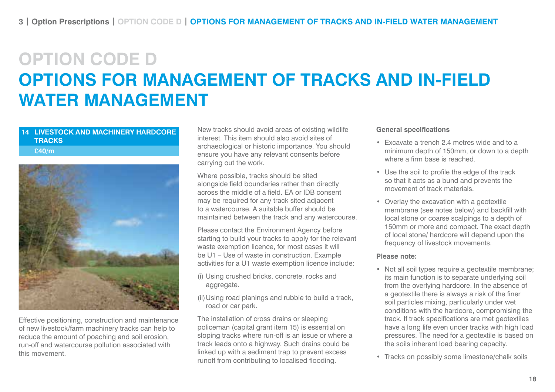# **OPTION CODE D OPTIONS FOR MANAGEMENT OF TRACKS AND IN-FIELD WATER MANAGEMENT**

### **14 LIVESTOCK AND MACHINERY HARDCORE TRACKS**

**£40/m**



Effective positioning, construction and maintenance of new livestock/farm machinery tracks can help to reduce the amount of poaching and soil erosion, run-off and watercourse pollution associated with this movement.

New tracks should avoid areas of existing wildlife interest. This item should also avoid sites of archaeological or historic importance. You should ensure you have any relevant consents before carrying out the work.

Where possible, tracks should be sited alongside field boundaries rather than directly across the middle of a field. EA or IDB consent may be required for any track sited adjacent to a watercourse. A suitable buffer should be maintained between the track and any watercourse.

Please contact the Environment Agency before starting to build your tracks to apply for the relevant waste exemption licence, for most cases it will be U1 – Use of waste in construction. Example activities for a U1 waste exemption licence include:

- (i) Using crushed bricks, concrete, rocks and aggregate.
- (ii)Using road planings and rubble to build a track, road or car park.

The installation of cross drains or sleeping policeman (capital grant item 15) is essential on sloping tracks where run-off is an issue or where a track leads onto a highway. Such drains could be linked up with a sediment trap to prevent excess runoff from contributing to localised flooding.

#### **General specifications**

- Excavate a trench 2.4 metres wide and to a minimum depth of 150mm, or down to a depth where a firm base is reached.
- Use the soil to profile the edge of the track so that it acts as a bund and prevents the movement of track materials.
- Overlay the excavation with a geotextile membrane (see notes below) and backfill with local stone or coarse scalpings to a depth of 150mm or more and compact. The exact depth of local stone/ hardcore will depend upon the frequency of livestock movements.

### **Please note:**

- Not all soil types require a geotextile membrane; its main function is to separate underlying soil from the overlying hardcore. In the absence of a geotextile there is always a risk of the finer soil particles mixing, particularly under wet conditions with the hardcore, compromising the track. If track specifications are met geotextiles have a long life even under tracks with high load pressures. The need for a geotextile is based on the soils inherent load bearing capacity.
- Tracks on possibly some limestone/chalk soils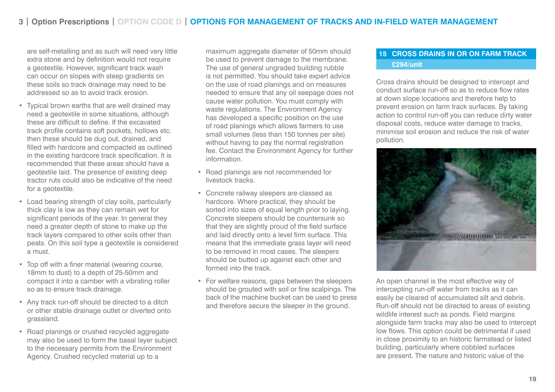are self-metalling and as such will need very little extra stone and by definition would not require a geotextile. However, significant track wash can occur on slopes with steep gradients on these soils so track drainage may need to be addressed so as to avoid track erosion.

- Typical brown earths that are well drained may need a geotextile in some situations, although these are difficult to define. If the excavated track profile contains soft pockets, hollows etc. then these should be dug out, drained, and filled with hardcore and compacted as outlined in the existing hardcore track specification. It is recommended that these areas should have a geotextile laid. The presence of existing deep tractor ruts could also be indicative of the need for a geotextile.
- Load bearing strength of clay soils, particularly thick clay is low as they can remain wet for significant periods of the year. In general they need a greater depth of stone to make up the track layers compared to other soils other than peats. On this soil type a geotextile is considered a must.
- Top off with a finer material (wearing course, 18mm to dust) to a depth of 25-50mm and compact it into a camber with a vibrating roller so as to ensure track drainage.
- Any track run-off should be directed to a ditch or other stable drainage outlet or diverted onto grassland.
- Road planings or crushed recycled aggregate may also be used to form the basal layer subject to the necessary permits from the Environment Agency. Crushed recycled material up to a

maximum aggregate diameter of 50mm should be used to prevent damage to the membrane. The use of general ungraded building rubble is not permitted. You should take expert advice on the use of road planings and on measures needed to ensure that any oil seepage does not cause water pollution. You must comply with waste regulations. The Environment Agency has developed a specific position on the use of road planings which allows farmers to use small volumes (less than 150 tonnes per site) without having to pay the normal registration fee. Contact the Environment Agency for further information.

- Road planings are not recommended for livestock tracks.
- Concrete railway sleepers are classed as hardcore. Where practical, they should be sorted into sizes of equal length prior to laying. Concrete sleepers should be countersunk so that they are slightly proud of the field surface and laid directly onto a level firm surface. This means that the immediate grass layer will need to be removed in most cases. The sleepers should be butted up against each other and formed into the track.
- For welfare reasons, gaps between the sleepers should be grouted with soil or fine scalpings. The back of the machine bucket can be used to press and therefore secure the sleeper in the ground.

# **15 CROSS DRAINS IN OR ON FARM TRACK £294/unit**

Cross drains should be designed to intercept and conduct surface run-off so as to reduce flow rates at down slope locations and therefore help to prevent erosion on farm track surfaces. By taking action to control run-off you can reduce dirty water disposal costs, reduce water damage to tracks, minimise soil erosion and reduce the risk of water pollution.



An open channel is the most effective way of intercepting run-off water from tracks as it can easily be cleared of accumulated silt and debris. Run-off should not be directed to areas of existing wildlife interest such as ponds. Field margins alongside farm tracks may also be used to intercept low flows. This option could be detrimental if used in close proximity to an historic farmstead or listed building, particularly where cobbled surfaces are present. The nature and historic value of the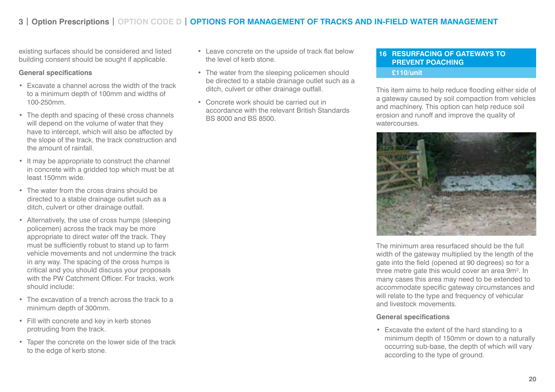# **3 | Option Prescriptions | OPTION CODE D | OPTIONS FOR MANAGEMENT OF TRACKS AND IN-FIELD WATER MANAGEMENT**

existing surfaces should be considered and listed building consent should be sought if applicable.

#### **General specifications**

- Excavate a channel across the width of the track to a minimum depth of 100mm and widths of 100-250mm.
- The depth and spacing of these cross channels will depend on the volume of water that they have to intercept, which will also be affected by the slope of the track, the track construction and the amount of rainfall.
- It may be appropriate to construct the channel in concrete with a gridded top which must be at least 150mm wide.
- The water from the cross drains should be directed to a stable drainage outlet such as a ditch, culvert or other drainage outfall.
- Alternatively, the use of cross humps (sleeping policemen) across the track may be more appropriate to direct water off the track. They must be sufficiently robust to stand up to farm vehicle movements and not undermine the track in any way. The spacing of the cross humps is critical and you should discuss your proposals with the PW Catchment Officer. For tracks, work should include:
- The excavation of a trench across the track to a minimum depth of 300mm.
- Fill with concrete and key in kerb stones protruding from the track.
- Taper the concrete on the lower side of the track to the edge of kerb stone.
- Leave concrete on the upside of track flat below the level of kerb stone.
- The water from the sleeping policemen should be directed to a stable drainage outlet such as a ditch, culvert or other drainage outfall.
- Concrete work should be carried out in accordance with the relevant British Standards BS 8000 and BS 8500.

# **16 RESURFACING OF GATEWAYS TO PREVENT POACHING**

**£110/unit**

This item aims to help reduce flooding either side of a gateway caused by soil compaction from vehicles and machinery. This option can help reduce soil erosion and runoff and improve the quality of watercourses.



The minimum area resurfaced should be the full width of the gateway multiplied by the length of the gate into the field (opened at 90 degrees) so for a three metre gate this would cover an area 9m². In many cases this area may need to be extended to accommodate specific gateway circumstances and will relate to the type and frequency of vehicular and livestock movements.

#### **General specifications**

• Excavate the extent of the hard standing to a minimum depth of 150mm or down to a naturally occurring sub-base, the depth of which will vary according to the type of ground.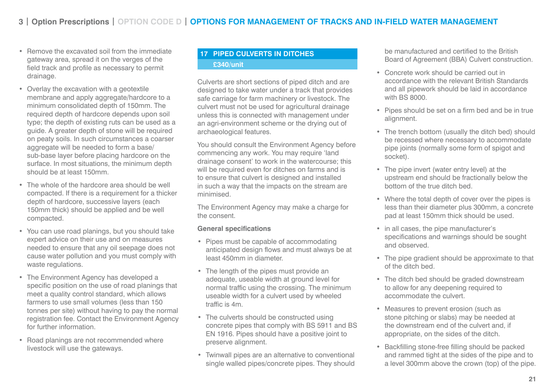- Remove the excavated soil from the immediate gateway area, spread it on the verges of the field track and profile as necessary to permit drainage.
- Overlay the excavation with a geotextile membrane and apply aggregate/hardcore to a minimum consolidated depth of 150mm. The required depth of hardcore depends upon soil type; the depth of existing ruts can be used as a guide. A greater depth of stone will be required on peaty soils. In such circumstances a coarser aggregate will be needed to form a base/ sub-base layer before placing hardcore on the surface. In most situations, the minimum depth should be at least 150mm.
- The whole of the hardcore area should be well compacted. If there is a requirement for a thicker depth of hardcore, successive layers (each 150mm thick) should be applied and be well compacted.
- You can use road planings, but you should take expert advice on their use and on measures needed to ensure that any oil seepage does not cause water pollution and you must comply with waste regulations.
- The Environment Agency has developed a specific position on the use of road planings that meet a quality control standard, which allows farmers to use small volumes (less than 150 tonnes per site) without having to pay the normal registration fee. Contact the Environment Agency for further information.
- Road planings are not recommended where livestock will use the gateways.

# **17 PIPED CULVERTS IN DITCHES £340/unit**

Culverts are short sections of piped ditch and are designed to take water under a track that provides safe carriage for farm machinery or livestock. The culvert must not be used for agricultural drainage unless this is connected with management under an agri-environment scheme or the drying out of archaeological features.

You should consult the Environment Agency before commencing any work. You may require 'land drainage consent' to work in the watercourse; this will be required even for ditches on farms and is to ensure that culvert is designed and installed in such a way that the impacts on the stream are minimised.

The Environment Agency may make a charge for the consent.

### **General specifications**

- Pipes must be capable of accommodating anticipated design flows and must always be at least 450mm in diameter.
- The length of the pipes must provide an adequate, useable width at ground level for normal traffic using the crossing. The minimum useable width for a culvert used by wheeled traffic is 4m.
- The culverts should be constructed using concrete pipes that comply with BS 5911 and BS EN 1916. Pipes should have a positive joint to preserve alignment.
- Twinwall pipes are an alternative to conventional single walled pipes/concrete pipes. They should

be manufactured and certified to the British Board of Agreement (BBA) Culvert construction.

- Concrete work should be carried out in accordance with the relevant British Standards and all pipework should be laid in accordance with BS 8000.
- Pipes should be set on a firm bed and be in true alignment.
- The trench bottom (usually the ditch bed) should be recessed where necessary to accommodate pipe joints (normally some form of spigot and socket).
- The pipe invert (water entry level) at the upstream end should be fractionally below the bottom of the true ditch bed.
- Where the total depth of cover over the pipes is less than their diameter plus 300mm, a concrete pad at least 150mm thick should be used.
- in all cases, the pipe manufacturer's specifications and warnings should be sought and observed.
- The pipe gradient should be approximate to that of the ditch bed.
- The ditch bed should be graded downstream to allow for any deepening required to accommodate the culvert.
- Measures to prevent erosion (such as stone pitching or slabs) may be needed at the downstream end of the culvert and, if appropriate, on the sides of the ditch.
- Backfilling stone-free filling should be packed and rammed tight at the sides of the pipe and to a level 300mm above the crown (top) of the pipe.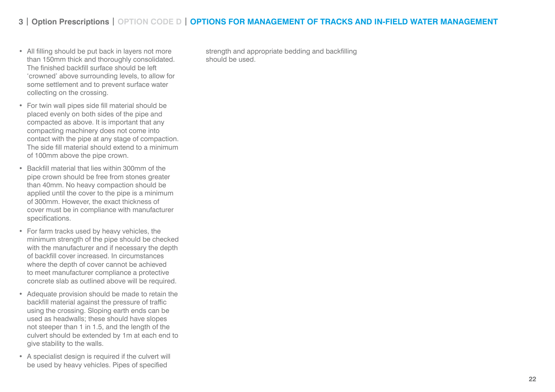# **3 | Option Prescriptions | OPTION CODE D | OPTIONS FOR MANAGEMENT OF TRACKS AND IN-FIELD WATER MANAGEMENT**

- All filling should be put back in layers not more than 150mm thick and thoroughly consolidated. The finished backfill surface should be left 'crowned' above surrounding levels, to allow for some settlement and to prevent surface water collecting on the crossing.
- For twin wall pipes side fill material should be placed evenly on both sides of the pipe and compacted as above. It is important that any compacting machinery does not come into contact with the pipe at any stage of compaction. The side fill material should extend to a minimum of 100mm above the pipe crown.
- Backfill material that lies within 300mm of the pipe crown should be free from stones greater than 40mm. No heavy compaction should be applied until the cover to the pipe is a minimum of 300mm. However, the exact thickness of cover must be in compliance with manufacturer specifications.
- For farm tracks used by heavy vehicles, the minimum strength of the pipe should be checked with the manufacturer and if necessary the depth of backfill cover increased. In circumstances where the depth of cover cannot be achieved to meet manufacturer compliance a protective concrete slab as outlined above will be required.
- Adequate provision should be made to retain the backfill material against the pressure of traffic using the crossing. Sloping earth ends can be used as headwalls; these should have slopes not steeper than 1 in 1.5, and the length of the culvert should be extended by 1m at each end to give stability to the walls.
- A specialist design is required if the culvert will be used by heavy vehicles. Pipes of specified

strength and appropriate bedding and backfilling should be used.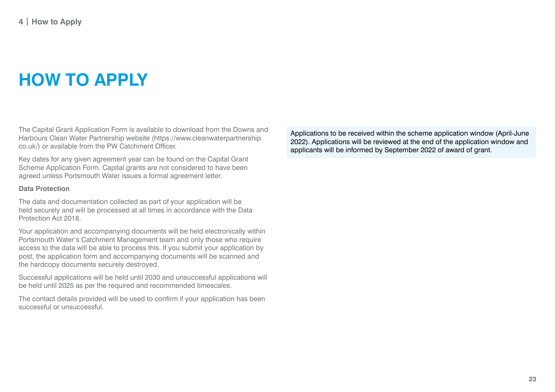# **HOW TO APPLY**

The Capital Grant Application Form is available to download from the Downs and Harbours Clean Water Partnership website (https://www.cleanwaterpartnership. co.uk/) or available from the PW Catchment Officer.

Key dates for any given agreement year can be found on the Capital Grant Scheme Application Form. Capital grants are not considered to have been agreed unless Portsmouth Water issues a formal agreement letter.

#### **Data Protection**

The data and documentation collected as part of your application will be held securely and will be processed at all times in accordance with the Data Protection Act 2018.

Your application and accompanying documents will be held electronically within Portsmouth Water's Catchment Management team and only those who require access to the data will be able to process this. If you submit your application by post, the application form and accompanying documents will be scanned and the hardcopy documents securely destroyed.

Successful applications will be held until 2030 and unsuccessful applications will be held until 2025 as per the required and recommended timescales.

The contact details provided will be used to confirm if your application has been successful or unsuccessful.

Applications to be received within the scheme application window (April-June 2022). Applications will be reviewed at the end of the application window and applicants will be informed by September 2022 of award of grant.